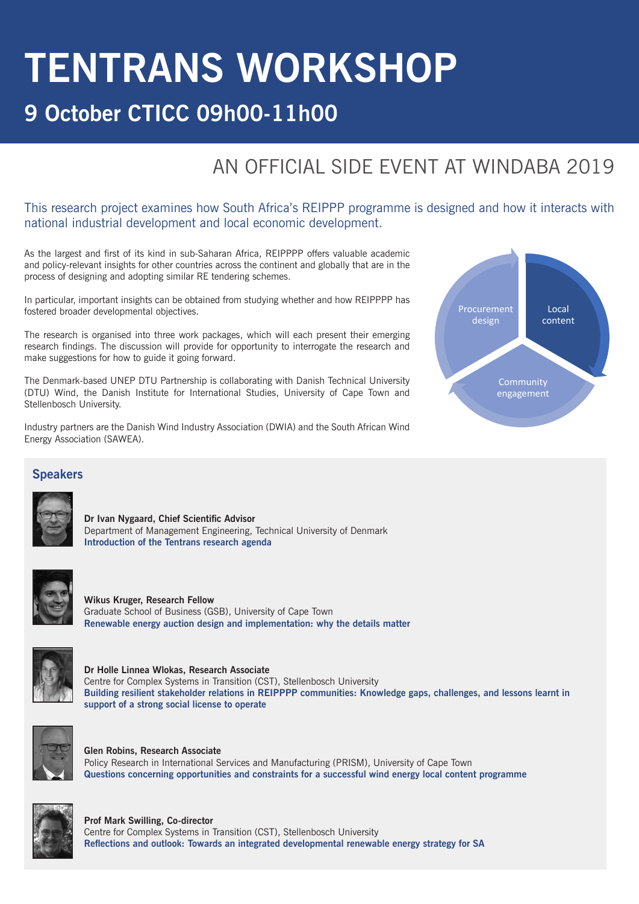# **TENTRANS WORKSHOP**

# **9 October CTICC 09h00-11h00**

# AN OFFICIAL SIDE EVENT AT WINDABA 2019

Windaba

## This research project examines how South Africa's REIPPP programme is designed and how it interacts with national industrial development and local economic development.

As the largest and first of its kind in sub-Saharan Africa, REIPPPP offers valuable academic and policy-relevant insights for other countries across the continent and globally that are in the process of designing and adopting similar RE tendering schemes.

In particular, important insights can be obtained from studying whether and how REIPPPP has fostered broader developmental objectives.

The research is organised into three work packages, which will each present their emerging research findings. The discussion will provide for opportunity to interrogate the research and make suggestions for how to guide it going forward.

The Denmark-based UNEP DTU Partnership is collaborating with Danish Technical University (DTU) Wind, the Danish Institute for International Studies, University of Cape Town and Stellenbosch University.

Industry partners are the Danish Wind Industry Association (DWIA) and the South African Wind Energy Association (SAWEA).



#### **Speakers**



**Dr Ivan Nygaard, Chief Scientific Advisor**  Department of Management Engineering, Technical University of Denmark **Introduction of the Tentrans research agenda** 



**Wikus Kruger, Research Fellow**  Graduate School of Business (GSB), University of Cape Town **Renewable energy auction design and implementation: why the details matter**



**Dr Holle Linnea Wlokas, Research Associate** Centre for Complex Systems in Transition (CST), Stellenbosch University **Building resilient stakeholder relations in REIPPPP communities: Knowledge gaps, challenges, and lessons learnt in support of a strong social license to operate**



**Glen Robins, Research Associate** Policy Research in International Services and Manufacturing (PRISM), University of Cape Town **Questions concerning opportunities and constraints for a successful wind energy local content programme**



#### **Prof Mark Swilling, Co-director**

Centre for Complex Systems in Transition (CST), Stellenbosch University **Reflections and outlook: Towards an integrated developmental renewable energy strategy for SA**